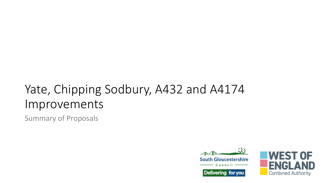## Yate, Chipping Sodbury, A432 and A4174 Improvements

Summary of Proposals



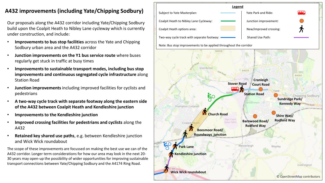## **A432 improvements (including Yate/Chipping Sodbury)**

Our proposals along the A432 corridor including Yate/Chipping Sodbury build upon the Coalpit Heath to Nibley Lane cycleway which is currently under construction, and include:

- **Improvements to bus stop facilities** across the Yate and Chipping Sodbury urban area and the A432 corridor
- **Junction improvements on the Y1 bus service route** where buses regularly get stuck in traffic at busy times
- **Improvements to sustainable transport modes, including bus stop improvements and continuous segregated cycle infrastructure** along Station Road
- **Junction improvements** including improved facilities for cyclists and pedestrians
- **A two-way cycle track with separate footway along the eastern side of the A432 between Coalpit Heath and Kendleshire junction**
- **Improvements to the Kendleshire junction**
- **Improved crossing facilities for pedestrians and cyclists** along the A432
- **Retained key shared use paths**, e.g. between Kendleshire junction and Wick Wick roundabout

The scope of these improvements are focussed on making the best use we can of the A432 corridor. Longer term considerations for how our area may look in the next 20- 30 years may open-up the possibility of wider opportunities for improving sustainable transport connections between Yate/Chipping Sodbury and the A4174 Ring Road.